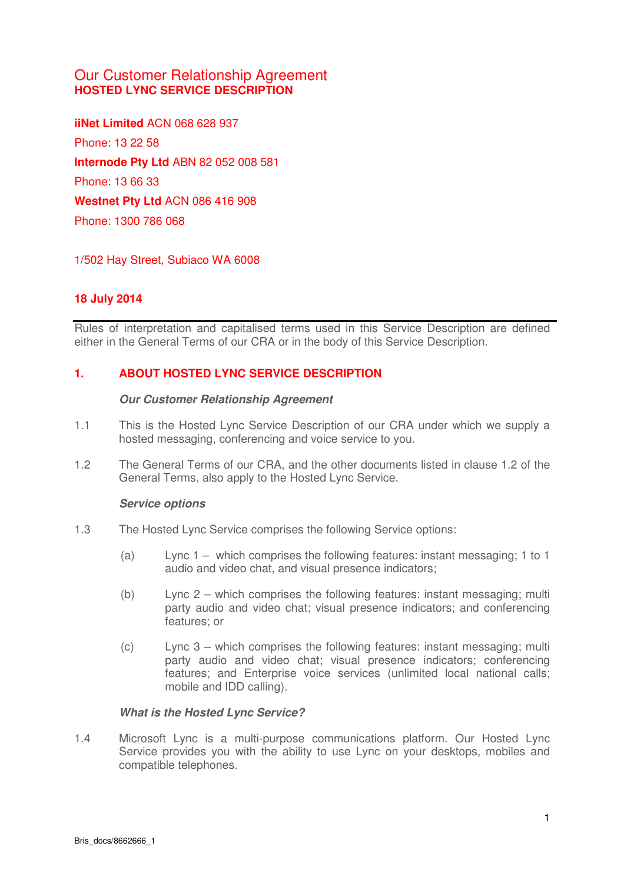## Our Customer Relationship Agreement **HOSTED LYNC SERVICE DESCRIPTION**

**iiNet Limited** ACN 068 628 937 Phone: 13 22 58 **Internode Pty Ltd** ABN 82 052 008 581 Phone: 13 66 33 **Westnet Pty Ltd** ACN 086 416 908 Phone: 1300 786 068

1/502 Hay Street, Subiaco WA 6008

## **18 July 2014**

Rules of interpretation and capitalised terms used in this Service Description are defined either in the General Terms of our CRA or in the body of this Service Description.

## **1. ABOUT HOSTED LYNC SERVICE DESCRIPTION**

#### **Our Customer Relationship Agreement**

- 1.1 This is the Hosted Lync Service Description of our CRA under which we supply a hosted messaging, conferencing and voice service to you.
- 1.2 The General Terms of our CRA, and the other documents listed in clause 1.2 of the General Terms, also apply to the Hosted Lync Service.

#### **Service options**

- 1.3 The Hosted Lync Service comprises the following Service options:
	- (a) Lync 1 which comprises the following features: instant messaging; 1 to 1 audio and video chat, and visual presence indicators;
	- (b) Lync 2 which comprises the following features: instant messaging; multi party audio and video chat; visual presence indicators; and conferencing features; or
	- (c) Lync 3 which comprises the following features: instant messaging; multi party audio and video chat; visual presence indicators; conferencing features; and Enterprise voice services (unlimited local national calls; mobile and IDD calling).

#### **What is the Hosted Lync Service?**

1.4 Microsoft Lync is a multi-purpose communications platform. Our Hosted Lync Service provides you with the ability to use Lync on your desktops, mobiles and compatible telephones.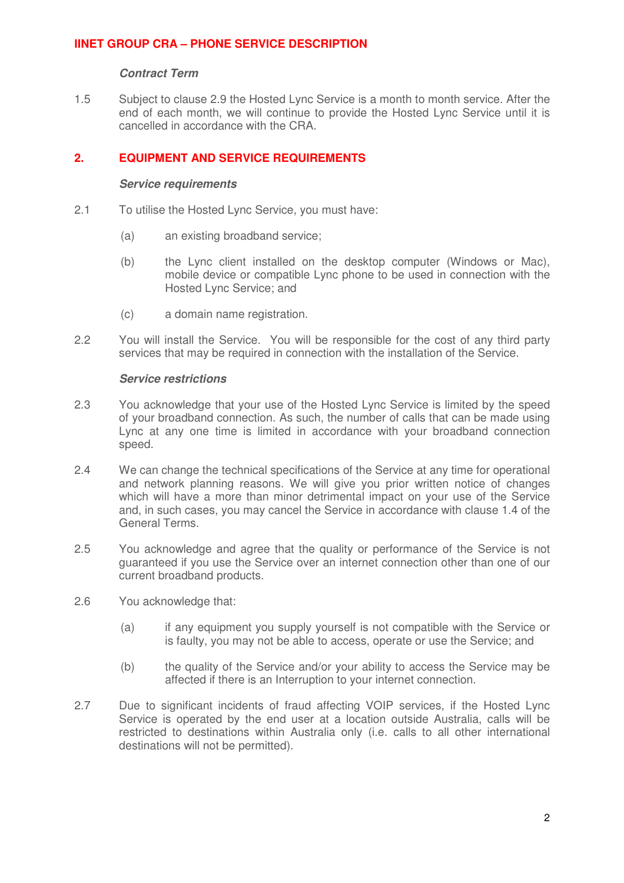### **Contract Term**

1.5 Subject to clause [2.9](#page-2-0) the Hosted Lync Service is a month to month service. After the end of each month, we will continue to provide the Hosted Lync Service until it is cancelled in accordance with the CRA.

## **2. EQUIPMENT AND SERVICE REQUIREMENTS**

#### **Service requirements**

- 2.1 To utilise the Hosted Lync Service, you must have:
	- (a) an existing broadband service;
	- (b) the Lync client installed on the desktop computer (Windows or Mac), mobile device or compatible Lync phone to be used in connection with the Hosted Lync Service; and
	- (c) a domain name registration.
- 2.2 You will install the Service. You will be responsible for the cost of any third party services that may be required in connection with the installation of the Service.

#### **Service restrictions**

- 2.3 You acknowledge that your use of the Hosted Lync Service is limited by the speed of your broadband connection. As such, the number of calls that can be made using Lync at any one time is limited in accordance with your broadband connection speed.
- 2.4 We can change the technical specifications of the Service at any time for operational and network planning reasons. We will give you prior written notice of changes which will have a more than minor detrimental impact on your use of the Service and, in such cases, you may cancel the Service in accordance with clause 1.4 of the General Terms.
- 2.5 You acknowledge and agree that the quality or performance of the Service is not guaranteed if you use the Service over an internet connection other than one of our current broadband products.
- 2.6 You acknowledge that:
	- (a) if any equipment you supply yourself is not compatible with the Service or is faulty, you may not be able to access, operate or use the Service; and
	- (b) the quality of the Service and/or your ability to access the Service may be affected if there is an Interruption to your internet connection.
- 2.7 Due to significant incidents of fraud affecting VOIP services, if the Hosted Lync Service is operated by the end user at a location outside Australia, calls will be restricted to destinations within Australia only (i.e. calls to all other international destinations will not be permitted).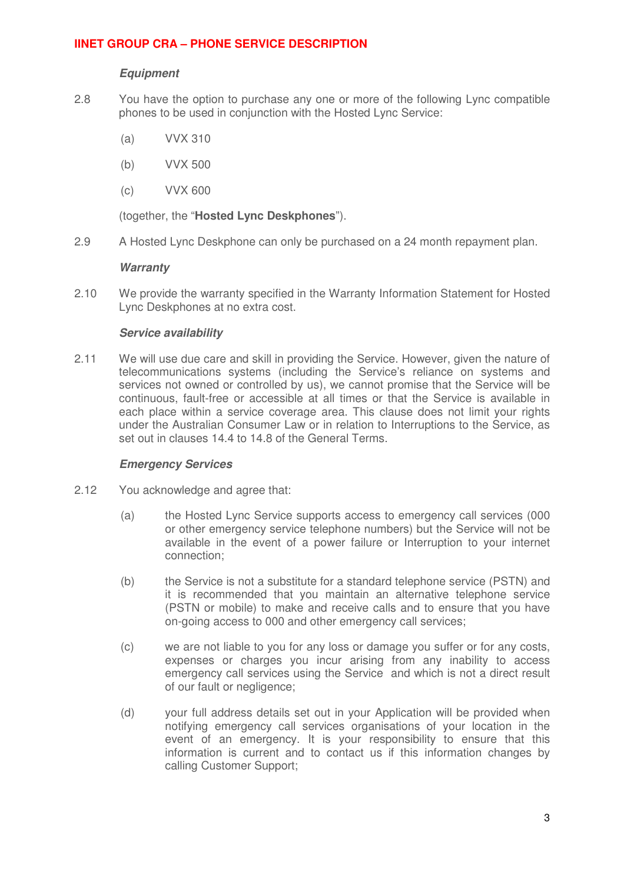### **Equipment**

- <span id="page-2-0"></span>2.8 You have the option to purchase any one or more of the following Lync compatible phones to be used in conjunction with the Hosted Lync Service:
	- (a) VVX 310
	- (b) VVX 500
	- (c) VVX 600

(together, the "**Hosted Lync Deskphones**").

2.9 A Hosted Lync Deskphone can only be purchased on a 24 month repayment plan.

#### **Warranty**

2.10 We provide the warranty specified in the Warranty Information Statement for Hosted Lync Deskphones at no extra cost.

#### **Service availability**

2.11 We will use due care and skill in providing the Service. However, given the nature of telecommunications systems (including the Service's reliance on systems and services not owned or controlled by us), we cannot promise that the Service will be continuous, fault-free or accessible at all times or that the Service is available in each place within a service coverage area. This clause does not limit your rights under the Australian Consumer Law or in relation to Interruptions to the Service, as set out in clauses 14.4 to 14.8 of the General Terms.

#### **Emergency Services**

- 2.12 You acknowledge and agree that:
	- (a) the Hosted Lync Service supports access to emergency call services (000 or other emergency service telephone numbers) but the Service will not be available in the event of a power failure or Interruption to your internet connection;
	- (b) the Service is not a substitute for a standard telephone service (PSTN) and it is recommended that you maintain an alternative telephone service (PSTN or mobile) to make and receive calls and to ensure that you have on-going access to 000 and other emergency call services;
	- (c) we are not liable to you for any loss or damage you suffer or for any costs, expenses or charges you incur arising from any inability to access emergency call services using the Service and which is not a direct result of our fault or negligence;
	- (d) your full address details set out in your Application will be provided when notifying emergency call services organisations of your location in the event of an emergency. It is your responsibility to ensure that this information is current and to contact us if this information changes by calling Customer Support;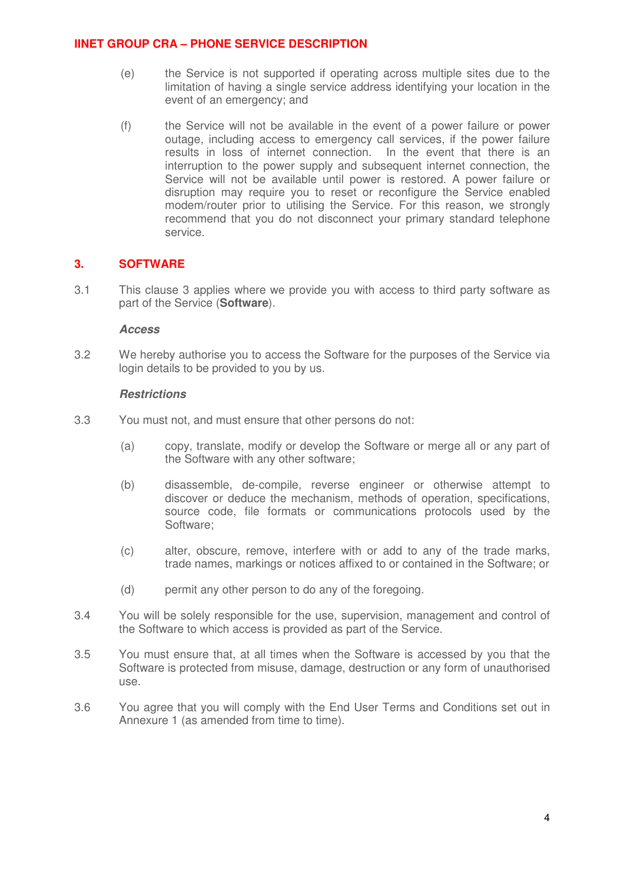- (e) the Service is not supported if operating across multiple sites due to the limitation of having a single service address identifying your location in the event of an emergency; and
- (f) the Service will not be available in the event of a power failure or power outage, including access to emergency call services, if the power failure results in loss of internet connection. In the event that there is an interruption to the power supply and subsequent internet connection, the Service will not be available until power is restored. A power failure or disruption may require you to reset or reconfigure the Service enabled modem/router prior to utilising the Service. For this reason, we strongly recommend that you do not disconnect your primary standard telephone service.

## **3. SOFTWARE**

3.1 This clause 3 applies where we provide you with access to third party software as part of the Service (**Software**).

#### **Access**

3.2 We hereby authorise you to access the Software for the purposes of the Service via login details to be provided to you by us.

#### **Restrictions**

- 3.3 You must not, and must ensure that other persons do not:
	- (a) copy, translate, modify or develop the Software or merge all or any part of the Software with any other software;
	- (b) disassemble, de-compile, reverse engineer or otherwise attempt to discover or deduce the mechanism, methods of operation, specifications, source code, file formats or communications protocols used by the Software;
	- (c) alter, obscure, remove, interfere with or add to any of the trade marks, trade names, markings or notices affixed to or contained in the Software; or
	- (d) permit any other person to do any of the foregoing.
- 3.4 You will be solely responsible for the use, supervision, management and control of the Software to which access is provided as part of the Service.
- 3.5 You must ensure that, at all times when the Software is accessed by you that the Software is protected from misuse, damage, destruction or any form of unauthorised use.
- 3.6 You agree that you will comply with the End User Terms and Conditions set out in Annexure 1 (as amended from time to time).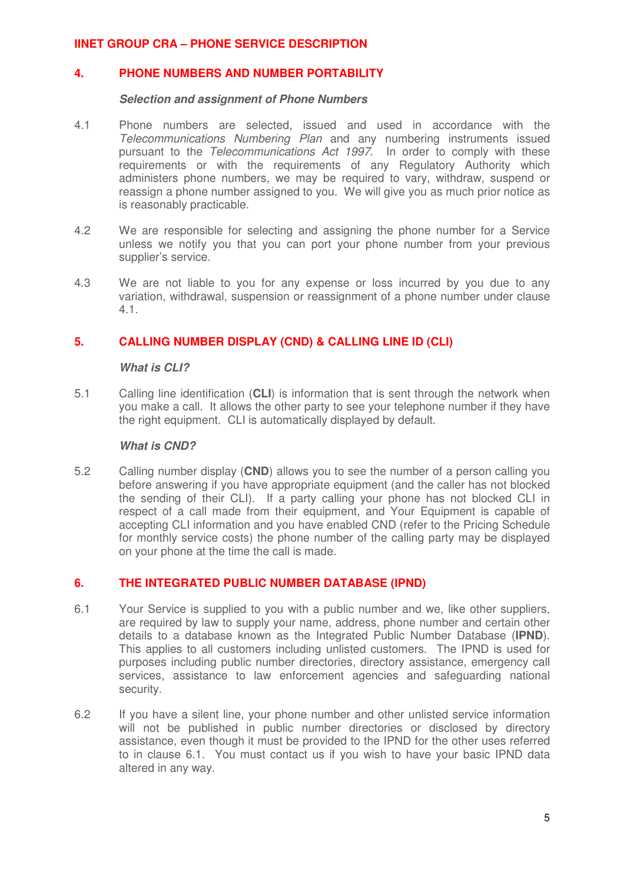## **4. PHONE NUMBERS AND NUMBER PORTABILITY**

#### **Selection and assignment of Phone Numbers**

- 4.1 Phone numbers are selected, issued and used in accordance with the Telecommunications Numbering Plan and any numbering instruments issued pursuant to the Telecommunications Act 1997. In order to comply with these requirements or with the requirements of any Regulatory Authority which administers phone numbers, we may be required to vary, withdraw, suspend or reassign a phone number assigned to you. We will give you as much prior notice as is reasonably practicable.
- 4.2 We are responsible for selecting and assigning the phone number for a Service unless we notify you that you can port your phone number from your previous supplier's service.
- 4.3 We are not liable to you for any expense or loss incurred by you due to any variation, withdrawal, suspension or reassignment of a phone number under clause 4.1.

## **5. CALLING NUMBER DISPLAY (CND) & CALLING LINE ID (CLI)**

#### **What is CLI?**

5.1 Calling line identification (**CLI**) is information that is sent through the network when you make a call. It allows the other party to see your telephone number if they have the right equipment. CLI is automatically displayed by default.

#### **What is CND?**

5.2 Calling number display (**CND**) allows you to see the number of a person calling you before answering if you have appropriate equipment (and the caller has not blocked the sending of their CLI). If a party calling your phone has not blocked CLI in respect of a call made from their equipment, and Your Equipment is capable of accepting CLI information and you have enabled CND (refer to the Pricing Schedule for monthly service costs) the phone number of the calling party may be displayed on your phone at the time the call is made.

## **6. THE INTEGRATED PUBLIC NUMBER DATABASE (IPND)**

- 6.1 Your Service is supplied to you with a public number and we, like other suppliers, are required by law to supply your name, address, phone number and certain other details to a database known as the Integrated Public Number Database (**IPND**). This applies to all customers including unlisted customers. The IPND is used for purposes including public number directories, directory assistance, emergency call services, assistance to law enforcement agencies and safeguarding national security.
- 6.2 If you have a silent line, your phone number and other unlisted service information will not be published in public number directories or disclosed by directory assistance, even though it must be provided to the IPND for the other uses referred to in clause 6.1. You must contact us if you wish to have your basic IPND data altered in any way.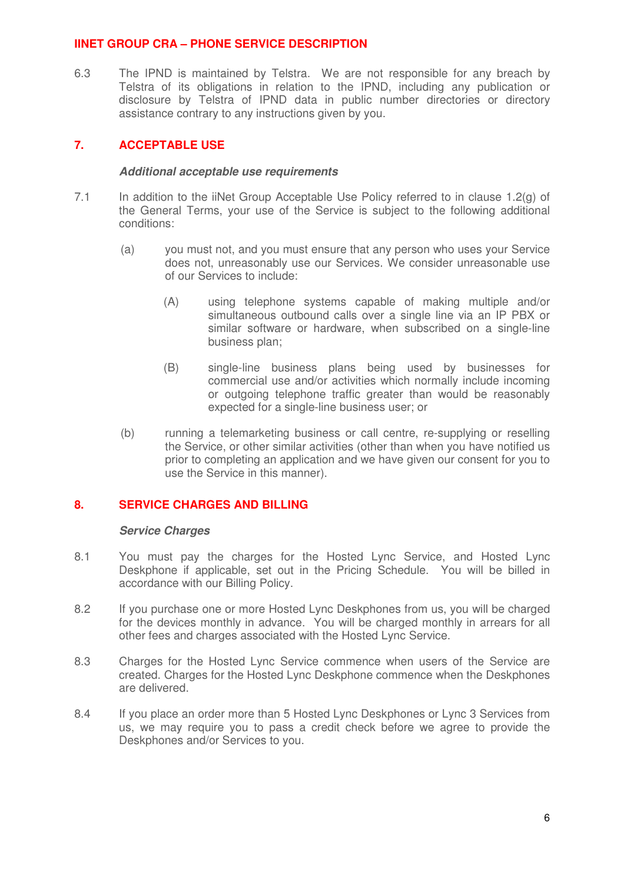6.3 The IPND is maintained by Telstra. We are not responsible for any breach by Telstra of its obligations in relation to the IPND, including any publication or disclosure by Telstra of IPND data in public number directories or directory assistance contrary to any instructions given by you.

## **7. ACCEPTABLE USE**

#### **Additional acceptable use requirements**

- 7.1 In addition to the iiNet Group Acceptable Use Policy referred to in clause 1.2(g) of the General Terms, your use of the Service is subject to the following additional conditions:
	- (a) you must not, and you must ensure that any person who uses your Service does not, unreasonably use our Services. We consider unreasonable use of our Services to include:
		- (A) using telephone systems capable of making multiple and/or simultaneous outbound calls over a single line via an IP PBX or similar software or hardware, when subscribed on a single-line business plan;
		- (B) single-line business plans being used by businesses for commercial use and/or activities which normally include incoming or outgoing telephone traffic greater than would be reasonably expected for a single-line business user; or
	- (b) running a telemarketing business or call centre, re-supplying or reselling the Service, or other similar activities (other than when you have notified us prior to completing an application and we have given our consent for you to use the Service in this manner).

## **8. SERVICE CHARGES AND BILLING**

#### **Service Charges**

- 8.1 You must pay the charges for the Hosted Lync Service, and Hosted Lync Deskphone if applicable, set out in the Pricing Schedule. You will be billed in accordance with our Billing Policy.
- 8.2 If you purchase one or more Hosted Lync Deskphones from us, you will be charged for the devices monthly in advance. You will be charged monthly in arrears for all other fees and charges associated with the Hosted Lync Service.
- 8.3 Charges for the Hosted Lync Service commence when users of the Service are created. Charges for the Hosted Lync Deskphone commence when the Deskphones are delivered.
- 8.4 If you place an order more than 5 Hosted Lync Deskphones or Lync 3 Services from us, we may require you to pass a credit check before we agree to provide the Deskphones and/or Services to you.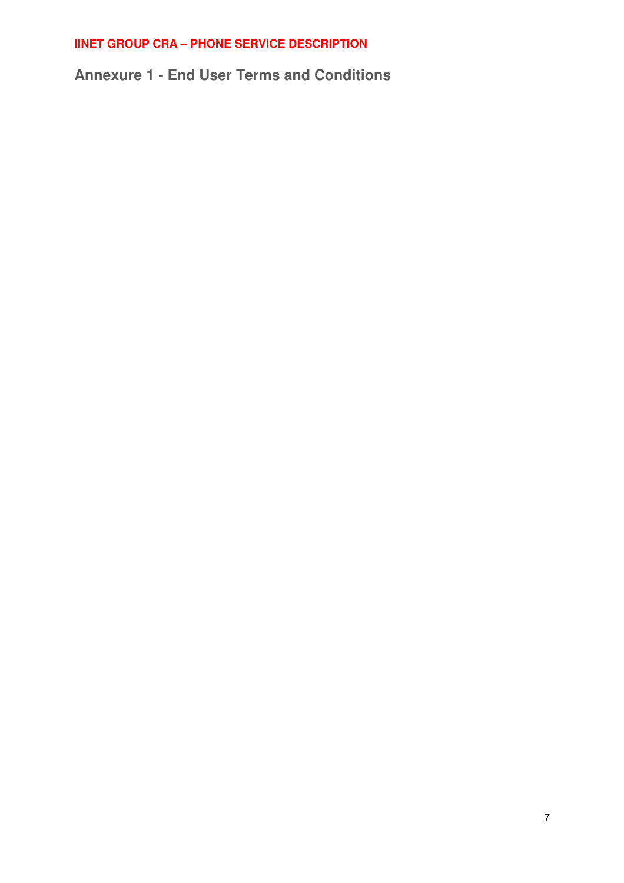**Annexure 1 - End User Terms and Conditions**